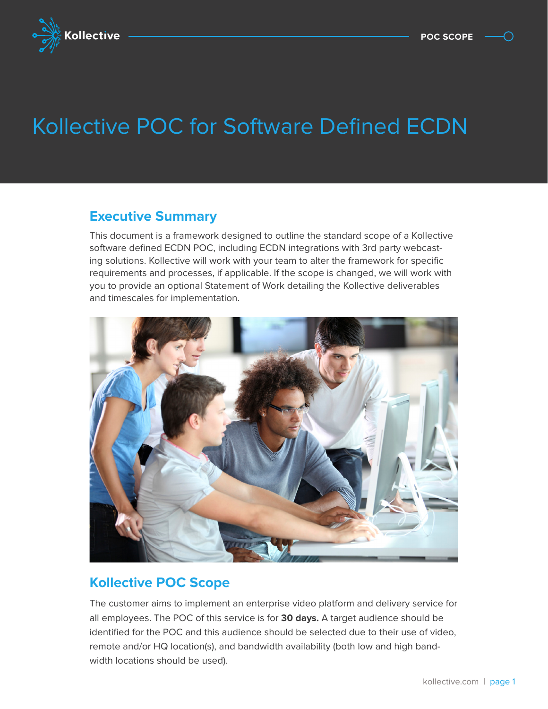

# KOIIE Kollective POC for Software Defined ECDN

### **Executive Summary**

This document is a framework designed to outline the standard scope of a Kollective software defined ECDN POC, including ECDN integrations with 3rd party webcasting solutions. Kollective will work with your team to alter the framework for specific requirements and processes, if applicable. If the scope is changed, we will work with you to provide an optional Statement of Work detailing the Kollective deliverables and timescales for implementation.



### **Kollective POC Scope**

The customer aims to implement an enterprise video platform and delivery service for all employees. The POC of this service is for **30 days.** A target audience should be identified for the POC and this audience should be selected due to their use of video, remote and/or HQ location(s), and bandwidth availability (both low and high bandwidth locations should be used).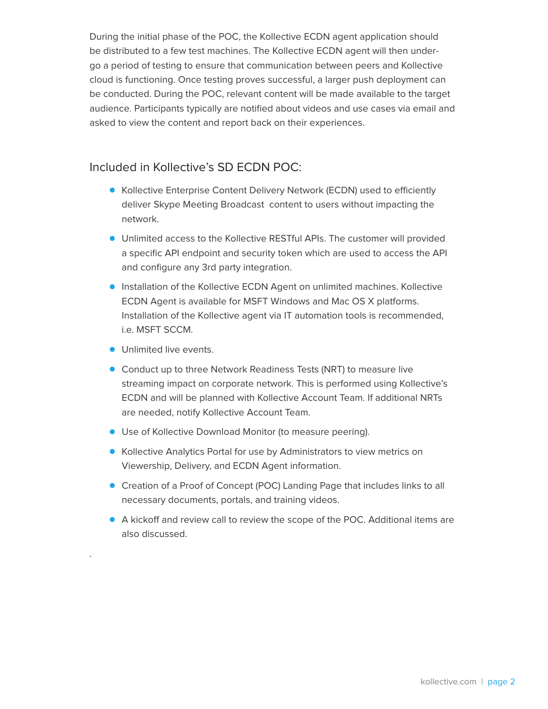During the initial phase of the POC, the Kollective ECDN agent application should be distributed to a few test machines. The Kollective ECDN agent will then undergo a period of testing to ensure that communication between peers and Kollective cloud is functioning. Once testing proves successful, a larger push deployment can be conducted. During the POC, relevant content will be made available to the target audience. Participants typically are notified about videos and use cases via email and asked to view the content and report back on their experiences.

#### Included in Kollective's SD ECDN POC:

- Kollective Enterprise Content Delivery Network (ECDN) used to efficiently deliver Skype Meeting Broadcast content to users without impacting the network.
- Unlimited access to the Kollective RESTful APIs. The customer will provided a specific API endpoint and security token which are used to access the API and configure any 3rd party integration.
- **Installation of the Kollective ECDN Agent on unlimited machines. Kollective** ECDN Agent is available for MSFT Windows and Mac OS X platforms. Installation of the Kollective agent via IT automation tools is recommended, i.e. MSFT SCCM.
- **Unlimited live events.**

.

- **Conduct up to three Network Readiness Tests (NRT) to measure live** streaming impact on corporate network. This is performed using Kollective's ECDN and will be planned with Kollective Account Team. If additional NRTs are needed, notify Kollective Account Team.
- Use of Kollective Download Monitor (to measure peering).
- **Kollective Analytics Portal for use by Administrators to view metrics on** Viewership, Delivery, and ECDN Agent information.
- Creation of a Proof of Concept (POC) Landing Page that includes links to all necessary documents, portals, and training videos.
- A kickoff and review call to review the scope of the POC. Additional items are also discussed.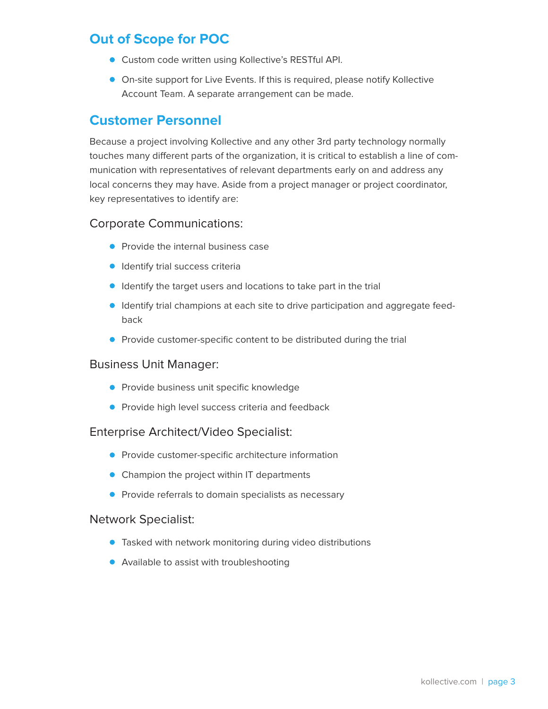## **Out of Scope for POC**

- Custom code written using Kollective's RESTful API.
- On-site support for Live Events. If this is required, please notify Kollective Account Team. A separate arrangement can be made.

### **Customer Personnel**

Because a project involving Kollective and any other 3rd party technology normally touches many different parts of the organization, it is critical to establish a line of communication with representatives of relevant departments early on and address any local concerns they may have. Aside from a project manager or project coordinator, key representatives to identify are:

#### Corporate Communications:

- Provide the internal business case
- **Identify trial success criteria**
- **IDENT** Identify the target users and locations to take part in the trial
- **Identify trial champions at each site to drive participation and aggregate feed**back
- **Provide customer-specific content to be distributed during the trial**

#### Business Unit Manager:

- **Provide business unit specific knowledge**
- **•** Provide high level success criteria and feedback

#### Enterprise Architect/Video Specialist:

- **•** Provide customer-specific architecture information
- Champion the project within IT departments
- **•** Provide referrals to domain specialists as necessary

#### Network Specialist:

- **•** Tasked with network monitoring during video distributions
- Available to assist with troubleshooting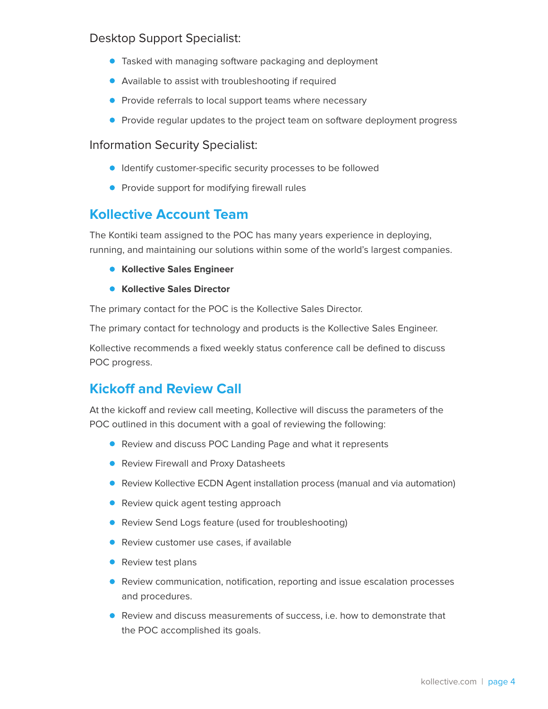### Desktop Support Specialist:

- **•** Tasked with managing software packaging and deployment
- Available to assist with troubleshooting if required
- **Provide referrals to local support teams where necessary**
- **•** Provide regular updates to the project team on software deployment progress

### Information Security Specialist:

- **IDENTIFY** customer-specific security processes to be followed
- **•** Provide support for modifying firewall rules

### **Kollective Account Team**

The Kontiki team assigned to the POC has many years experience in deploying, running, and maintaining our solutions within some of the world's largest companies.

- **Kollective Sales Engineer**
- **Kollective Sales Director**

The primary contact for the POC is the Kollective Sales Director.

The primary contact for technology and products is the Kollective Sales Engineer.

Kollective recommends a fixed weekly status conference call be defined to discuss POC progress.

## **Kickoff and Review Call**

At the kickoff and review call meeting, Kollective will discuss the parameters of the POC outlined in this document with a goal of reviewing the following:

- Review and discuss POC Landing Page and what it represents
- **Review Firewall and Proxy Datasheets**
- **•** Review Kollective ECDN Agent installation process (manual and via automation)
- Review quick agent testing approach
- Review Send Logs feature (used for troubleshooting)
- **Review customer use cases, if available**
- Review test plans
- **•** Review communication, notification, reporting and issue escalation processes and procedures.
- Review and discuss measurements of success, i.e. how to demonstrate that the POC accomplished its goals.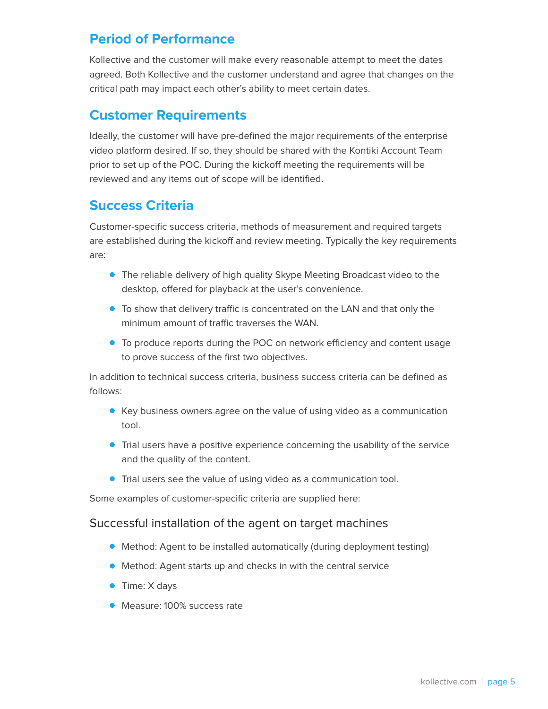## **Period of Performance**

Kollective and the customer will make every reasonable attempt to meet the dates agreed. Both Kollective and the customer understand and agree that changes on the critical path may impact each other's ability to meet certain dates.

## **Customer Requirements**

Ideally, the customer will have pre-defined the major requirements of the enterprise video platform desired. If so, they should be shared with the Kontiki Account Team prior to set up of the POC. During the kickoff meeting the requirements will be reviewed and any items out of scope will be identified.

## **Success Criteria**

Customer-specific success criteria, methods of measurement and required targets are established during the kickoff and review meeting. Typically the key requirements are:

- **•** The reliable delivery of high quality Skype Meeting Broadcast video to the desktop, offered for playback at the user's convenience.
- To show that delivery traffic is concentrated on the LAN and that only the minimum amount of traffic traverses the WAN.
- To produce reports during the POC on network efficiency and content usage to prove success of the first two objectives.

In addition to technical success criteria, business success criteria can be defined as follows:

- Key business owners agree on the value of using video as a communication tool.
- **•** Trial users have a positive experience concerning the usability of the service and the quality of the content.
- **Trial users see the value of using video as a communication tool.**

Some examples of customer-specific criteria are supplied here:

### Successful installation of the agent on target machines

- Method: Agent to be installed automatically (during deployment testing)
- Method: Agent starts up and checks in with the central service
- **Time: X days**
- **Measure: 100% success rate**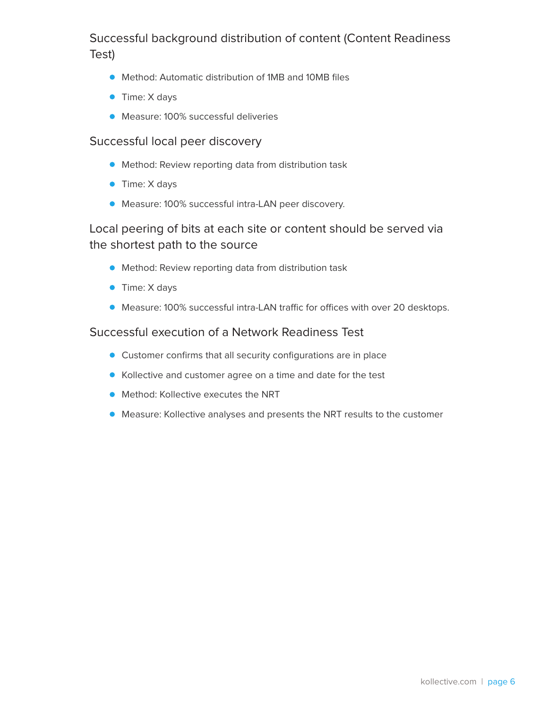### Successful background distribution of content (Content Readiness Test)

- Method: Automatic distribution of 1MB and 10MB files
- Time: X days
- Measure: 100% successful deliveries

#### Successful local peer discovery

- Method: Review reporting data from distribution task
- **Time: X days**
- Measure: 100% successful intra-LAN peer discovery.

### Local peering of bits at each site or content should be served via the shortest path to the source

- Method: Review reporting data from distribution task
- **Time: X days**
- Measure: 100% successful intra-LAN traffic for offices with over 20 desktops.

#### Successful execution of a Network Readiness Test

- Customer confirms that all security configurations are in place
- Kollective and customer agree on a time and date for the test
- **Method: Kollective executes the NRT**
- Measure: Kollective analyses and presents the NRT results to the customer